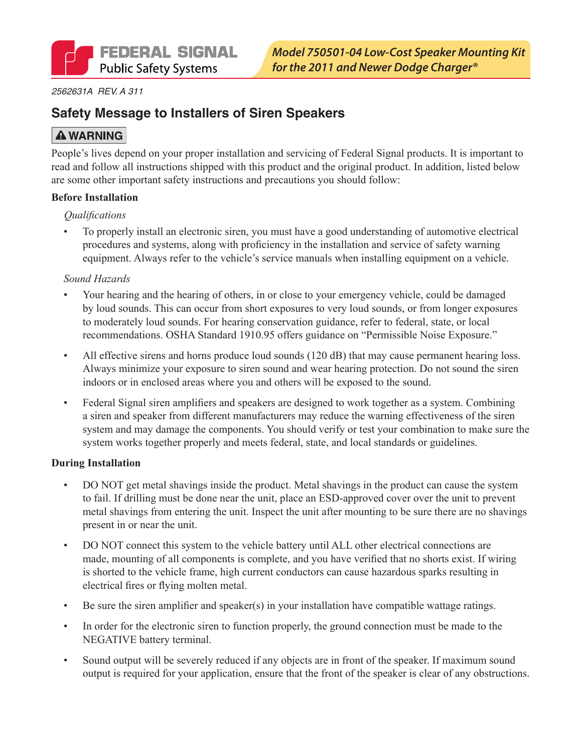#### *2562631A REV. A 311*

### **Safety Message to Installers of Siren Speakers**

### **A WARNING**

People's lives depend on your proper installation and servicing of Federal Signal products. It is important to read and follow all instructions shipped with this product and the original product. In addition, listed below are some other important safety instructions and precautions you should follow:

#### **Before Installation**

### *Qualifications*

• To properly install an electronic siren, you must have a good understanding of automotive electrical procedures and systems, along with proficiency in the installation and service of safety warning equipment. Always refer to the vehicle's service manuals when installing equipment on a vehicle.

#### *Sound Hazards*

- Your hearing and the hearing of others, in or close to your emergency vehicle, could be damaged by loud sounds. This can occur from short exposures to very loud sounds, or from longer exposures to moderately loud sounds. For hearing conservation guidance, refer to federal, state, or local recommendations. OSHA Standard 1910.95 offers guidance on "Permissible Noise Exposure."
- All effective sirens and horns produce loud sounds (120 dB) that may cause permanent hearing loss. Always minimize your exposure to siren sound and wear hearing protection. Do not sound the siren indoors or in enclosed areas where you and others will be exposed to the sound.
- • Federal Signal siren amplifiers and speakers are designed to work together as a system. Combining a siren and speaker from different manufacturers may reduce the warning effectiveness of the siren system and may damage the components. You should verify or test your combination to make sure the system works together properly and meets federal, state, and local standards or guidelines.

#### **During Installation**

- DO NOT get metal shavings inside the product. Metal shavings in the product can cause the system to fail. If drilling must be done near the unit, place an ESD-approved cover over the unit to prevent metal shavings from entering the unit. Inspect the unit after mounting to be sure there are no shavings present in or near the unit.
- DO NOT connect this system to the vehicle battery until ALL other electrical connections are made, mounting of all components is complete, and you have verified that no shorts exist. If wiring is shorted to the vehicle frame, high current conductors can cause hazardous sparks resulting in electrical fires or flying molten metal.
- Be sure the siren amplifier and speaker(s) in your installation have compatible wattage ratings.
- In order for the electronic siren to function properly, the ground connection must be made to the NEGATIVE battery terminal.
- Sound output will be severely reduced if any objects are in front of the speaker. If maximum sound output is required for your application, ensure that the front of the speaker is clear of any obstructions.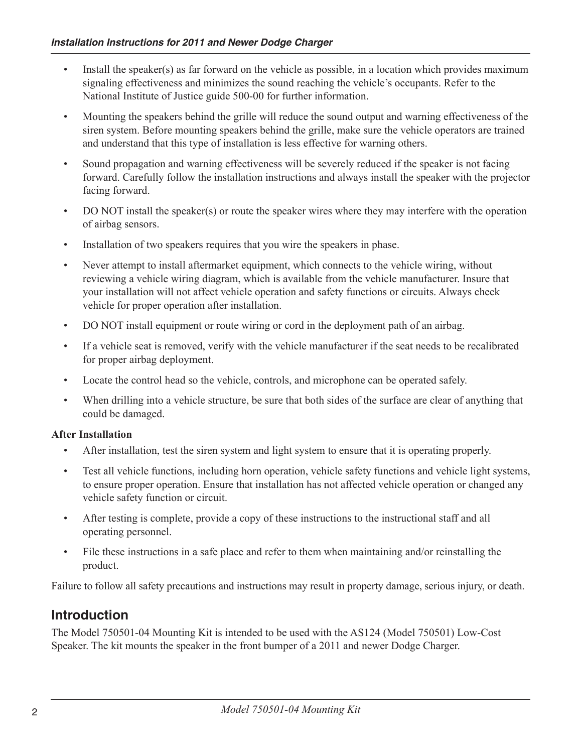- Install the speaker(s) as far forward on the vehicle as possible, in a location which provides maximum signaling effectiveness and minimizes the sound reaching the vehicle's occupants. Refer to the National Institute of Justice guide 500-00 for further information.
- • Mounting the speakers behind the grille will reduce the sound output and warning effectiveness of the siren system. Before mounting speakers behind the grille, make sure the vehicle operators are trained and understand that this type of installation is less effective for warning others.
- Sound propagation and warning effectiveness will be severely reduced if the speaker is not facing forward. Carefully follow the installation instructions and always install the speaker with the projector facing forward.
- DO NOT install the speaker(s) or route the speaker wires where they may interfere with the operation of airbag sensors.
- Installation of two speakers requires that you wire the speakers in phase.
- Never attempt to install aftermarket equipment, which connects to the vehicle wiring, without reviewing a vehicle wiring diagram, which is available from the vehicle manufacturer. Insure that your installation will not affect vehicle operation and safety functions or circuits. Always check vehicle for proper operation after installation.
- DO NOT install equipment or route wiring or cord in the deployment path of an airbag.
- If a vehicle seat is removed, verify with the vehicle manufacturer if the seat needs to be recalibrated for proper airbag deployment.
- Locate the control head so the vehicle, controls, and microphone can be operated safely.
- When drilling into a vehicle structure, be sure that both sides of the surface are clear of anything that could be damaged.

### **After Installation**

- • After installation, test the siren system and light system to ensure that it is operating properly.
- Test all vehicle functions, including horn operation, vehicle safety functions and vehicle light systems, to ensure proper operation. Ensure that installation has not affected vehicle operation or changed any vehicle safety function or circuit.
- After testing is complete, provide a copy of these instructions to the instructional staff and all operating personnel.
- • File these instructions in a safe place and refer to them when maintaining and/or reinstalling the product.

Failure to follow all safety precautions and instructions may result in property damage, serious injury, or death.

### **Introduction**

The Model 750501-04 Mounting Kit is intended to be used with the AS124 (Model 750501) Low-Cost Speaker. The kit mounts the speaker in the front bumper of a 2011 and newer Dodge Charger.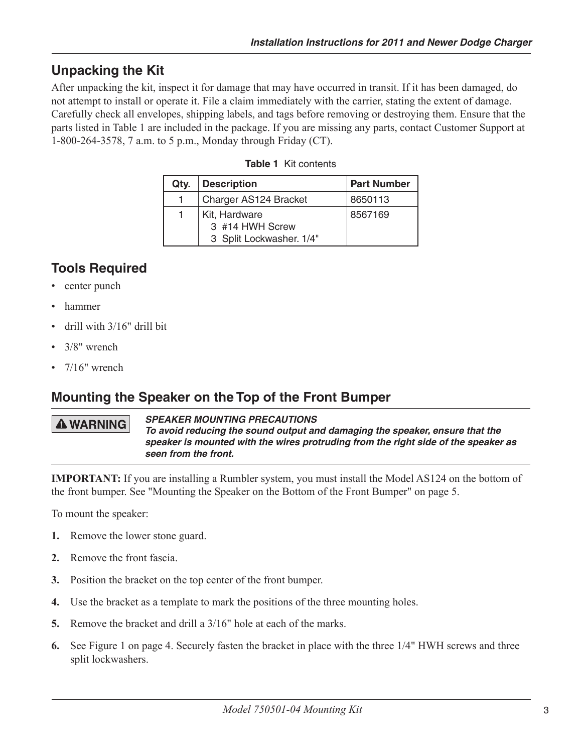# **Unpacking the Kit**

After unpacking the kit, inspect it for damage that may have occurred in transit. If it has been damaged, do not attempt to install or operate it. File a claim immediately with the carrier, stating the extent of damage. Carefully check all envelopes, shipping labels, and tags before removing or destroying them. Ensure that the parts listed in Table 1 are included in the package. If you are missing any parts, contact Customer Support at 1-800-264-3578, 7 a.m. to 5 p.m., Monday through Friday (CT).

| Qty. | <b>Description</b>                                           | <b>Part Number</b> |
|------|--------------------------------------------------------------|--------------------|
| 1.   | Charger AS124 Bracket                                        | 8650113            |
| 1.   | Kit, Hardware<br>3 #14 HWH Screw<br>3 Split Lockwasher. 1/4" | 8567169            |

#### **Table 1** Kit contents

# **Tools Required**

- center punch
- • hammer
- drill with 3/16" drill bit
- 3/8" wrench
- 7/16" wrench

### **Mounting the Speaker on the Top of the Front Bumper**

### **A WARNING**

*SPEAKER MOUNTING PRECAUTIONS To avoid reducing the sound output and damaging the speaker, ensure that the speaker is mounted with the wires protruding from the right side of the speaker as seen from the front.*

**IMPORTANT:** If you are installing a Rumbler system, you must install the Model AS124 on the bottom of the front bumper. See "Mounting the Speaker on the Bottom of the Front Bumper" on page 5.

To mount the speaker:

- **1.** Remove the lower stone guard.
- **2.** Remove the front fascia.
- **3.** Position the bracket on the top center of the front bumper.
- **4.** Use the bracket as a template to mark the positions of the three mounting holes.
- **5.** Remove the bracket and drill a 3/16" hole at each of the marks.
- **6.** See Figure 1 on page 4. Securely fasten the bracket in place with the three 1/4" HWH screws and three split lockwashers.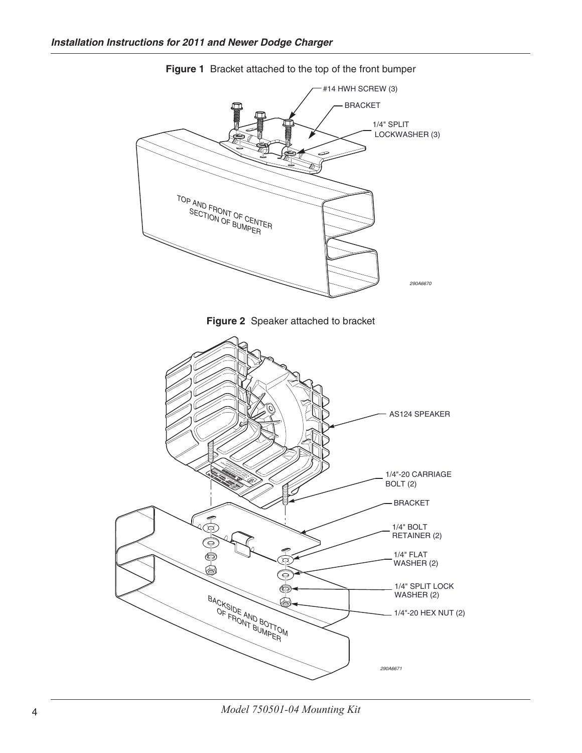

**Figure 1** Bracket attached to the top of the front bumper

4 *Model 750501-04 Mounting Kit*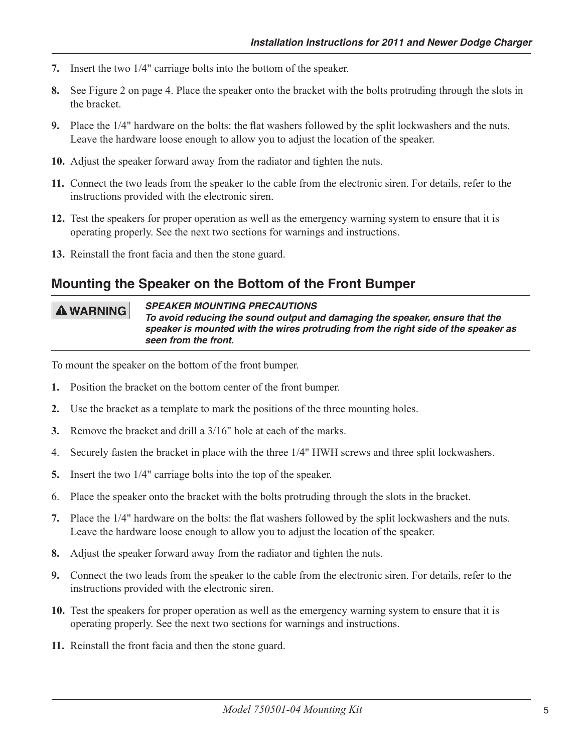- **7.** Insert the two 1/4" carriage bolts into the bottom of the speaker.
- **8.** See Figure 2 on page 4. Place the speaker onto the bracket with the bolts protruding through the slots in the bracket.
- **9.** Place the 1/4" hardware on the bolts: the flat washers followed by the split lockwashers and the nuts. Leave the hardware loose enough to allow you to adjust the location of the speaker.
- **10.** Adjust the speaker forward away from the radiator and tighten the nuts.
- **11.** Connect the two leads from the speaker to the cable from the electronic siren. For details, refer to the instructions provided with the electronic siren.
- 12. Test the speakers for proper operation as well as the emergency warning system to ensure that it is operating properly. See the next two sections for warnings and instructions.
- **13.** Reinstall the front facia and then the stone guard.

### **Mounting the Speaker on the Bottom of the Front Bumper**

#### **A WARNING**

#### *SPEAKER MOUNTING PRECAUTIONS*

*To avoid reducing the sound output and damaging the speaker, ensure that the speaker is mounted with the wires protruding from the right side of the speaker as seen from the front.*

To mount the speaker on the bottom of the front bumper.

- **1.** Position the bracket on the bottom center of the front bumper.
- **2.** Use the bracket as a template to mark the positions of the three mounting holes.
- **3.** Remove the bracket and drill a 3/16" hole at each of the marks.
- 4. Securely fasten the bracket in place with the three 1/4" HWH screws and three split lockwashers.
- **5.** Insert the two 1/4" carriage bolts into the top of the speaker.
- 6. Place the speaker onto the bracket with the bolts protruding through the slots in the bracket.
- **7.** Place the 1/4" hardware on the bolts: the flat washers followed by the split lockwashers and the nuts. Leave the hardware loose enough to allow you to adjust the location of the speaker.
- **8.** Adjust the speaker forward away from the radiator and tighten the nuts.
- **9.** Connect the two leads from the speaker to the cable from the electronic siren. For details, refer to the instructions provided with the electronic siren.
- **10.** Test the speakers for proper operation as well as the emergency warning system to ensure that it is operating properly. See the next two sections for warnings and instructions.
- **11.** Reinstall the front facia and then the stone guard.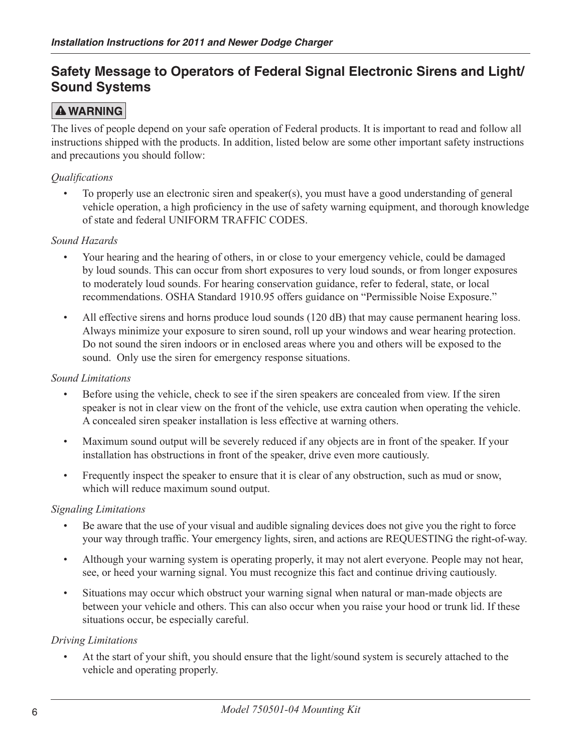### **Safety Message to Operators of Federal Signal Electronic Sirens and Light/ Sound Systems**

### **A WARNING**

The lives of people depend on your safe operation of Federal products. It is important to read and follow all instructions shipped with the products. In addition, listed below are some other important safety instructions and precautions you should follow:

### *Qualifications*

• To properly use an electronic siren and speaker(s), you must have a good understanding of general vehicle operation, a high proficiency in the use of safety warning equipment, and thorough knowledge of state and federal UNIFORM TRAFFIC CODES.

### *Sound Hazards*

- • Your hearing and the hearing of others, in or close to your emergency vehicle, could be damaged by loud sounds. This can occur from short exposures to very loud sounds, or from longer exposures to moderately loud sounds. For hearing conservation guidance, refer to federal, state, or local recommendations. OSHA Standard 1910.95 offers guidance on "Permissible Noise Exposure."
- All effective sirens and horns produce loud sounds (120 dB) that may cause permanent hearing loss. Always minimize your exposure to siren sound, roll up your windows and wear hearing protection. Do not sound the siren indoors or in enclosed areas where you and others will be exposed to the sound. Only use the siren for emergency response situations.

### *Sound Limitations*

- Before using the vehicle, check to see if the siren speakers are concealed from view. If the siren speaker is not in clear view on the front of the vehicle, use extra caution when operating the vehicle. A concealed siren speaker installation is less effective at warning others.
- Maximum sound output will be severely reduced if any objects are in front of the speaker. If your installation has obstructions in front of the speaker, drive even more cautiously.
- Frequently inspect the speaker to ensure that it is clear of any obstruction, such as mud or snow, which will reduce maximum sound output.

### *Signaling Limitations*

- Be aware that the use of your visual and audible signaling devices does not give you the right to force your way through traffic. Your emergency lights, siren, and actions are REQUESTING the right-of-way.
- • Although your warning system is operating properly, it may not alert everyone. People may not hear, see, or heed your warning signal. You must recognize this fact and continue driving cautiously.
- Situations may occur which obstruct your warning signal when natural or man-made objects are between your vehicle and others. This can also occur when you raise your hood or trunk lid. If these situations occur, be especially careful.

### *Driving Limitations*

• At the start of your shift, you should ensure that the light/sound system is securely attached to the vehicle and operating properly.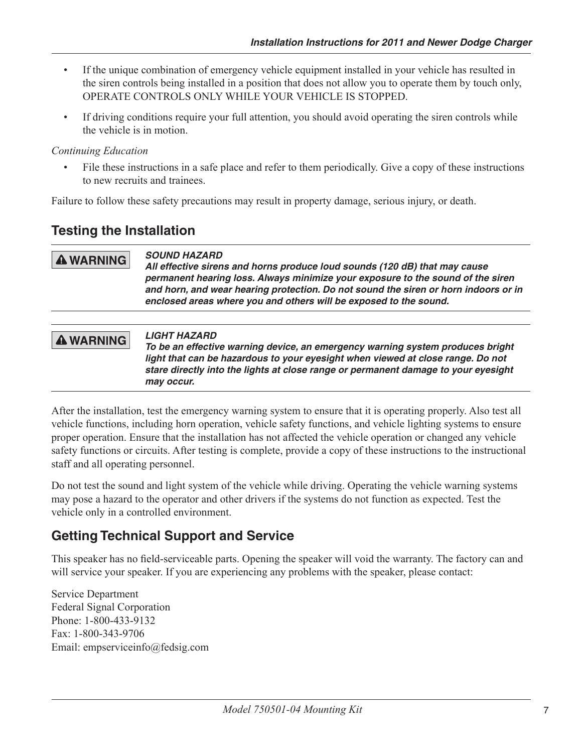- If the unique combination of emergency vehicle equipment installed in your vehicle has resulted in the siren controls being installed in a position that does not allow you to operate them by touch only, OPERATE CONTROLS ONLY WHILE YOUR VEHICLE IS STOPPED.
- If driving conditions require your full attention, you should avoid operating the siren controls while the vehicle is in motion.

### *Continuing Education*

• File these instructions in a safe place and refer to them periodically. Give a copy of these instructions to new recruits and trainees.

Failure to follow these safety precautions may result in property damage, serious injury, or death.

### **Testing the Installation**

#### *SOUND HAZARD* **A WARNING**

*All effective sirens and horns produce loud sounds (120 dB) that may cause permanent hearing loss. Always minimize your exposure to the sound of the siren and horn, and wear hearing protection. Do not sound the siren or horn indoors or in enclosed areas where you and others will be exposed to the sound.*

#### *LIGHT HAZARD* **A WARNING** *To be an effective warning device, an emergency warning system produces bright light that can be hazardous to your eyesight when viewed at close range. Do not stare directly into the lights at close range or permanent damage to your eyesight may occur.*

After the installation, test the emergency warning system to ensure that it is operating properly. Also test all vehicle functions, including horn operation, vehicle safety functions, and vehicle lighting systems to ensure proper operation. Ensure that the installation has not affected the vehicle operation or changed any vehicle safety functions or circuits. After testing is complete, provide a copy of these instructions to the instructional staff and all operating personnel.

Do not test the sound and light system of the vehicle while driving. Operating the vehicle warning systems may pose a hazard to the operator and other drivers if the systems do not function as expected. Test the vehicle only in a controlled environment.

# **Getting Technical Support and Service**

This speaker has no field-serviceable parts. Opening the speaker will void the warranty. The factory can and will service your speaker. If you are experiencing any problems with the speaker, please contact:

Service Department Federal Signal Corporation Phone: 1-800-433-9132 Fax: 1-800-343-9706 Email: empserviceinfo@fedsig.com